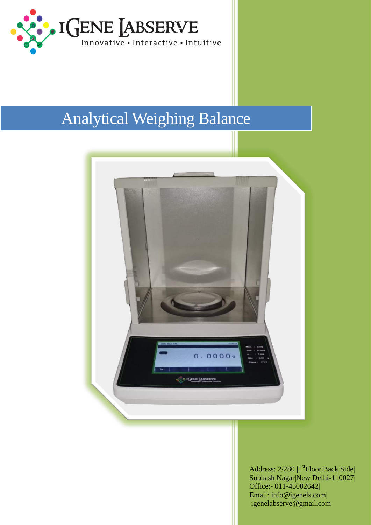

## **Analytical Weighing Balance**



Address: 2/280 | 1<sup>st</sup>Floor|Back Side| Subhash Nagar|New Delhi-110027| Office:- 011-45002642| Email: info@igenels.com| igenelabserve@gmail.com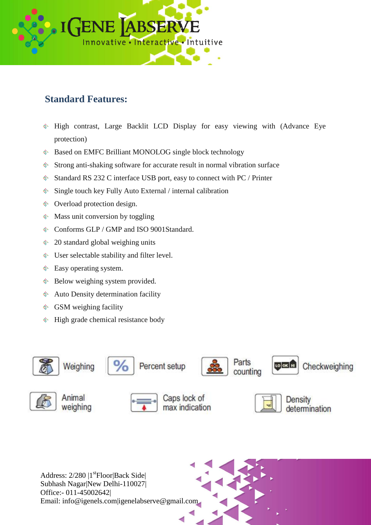

## **Standard Features:**

- High contrast, Large Backlit LCD Display for easy viewing with (Advance Eye protection)
- 30 Based on EMFC Brilliant MONOLOG single block technology
- Strong anti-shaking software for accurate result in normal vibration surface A.
- Standard RS 232 C interface USB port, easy to connect with PC / Printer **受**。
- Single touch key Fully Auto External / internal calibration **参**。
- Overload protection design.
- Mass unit conversion by toggling
- Conforms GLP / GMP and ISO 9001Standard.
- 20 standard global weighing units ※…
- User selectable stability and filter level.
- 参。 Easy operating system.
- **《** Below weighing system provided.
- Auto Density determination facility
- **GSM** weighing facility
- High grade chemical resistance body泰





Animal weighing



Caps lock of max indication



Density determination

Address:  $2/280$  |1<sup>st</sup>Floor|Back Side| Subhash Nagar|New Delhi-110027| Office:- 011-45002642| Email: info@igenels.com|igenelabserve@gmail.com